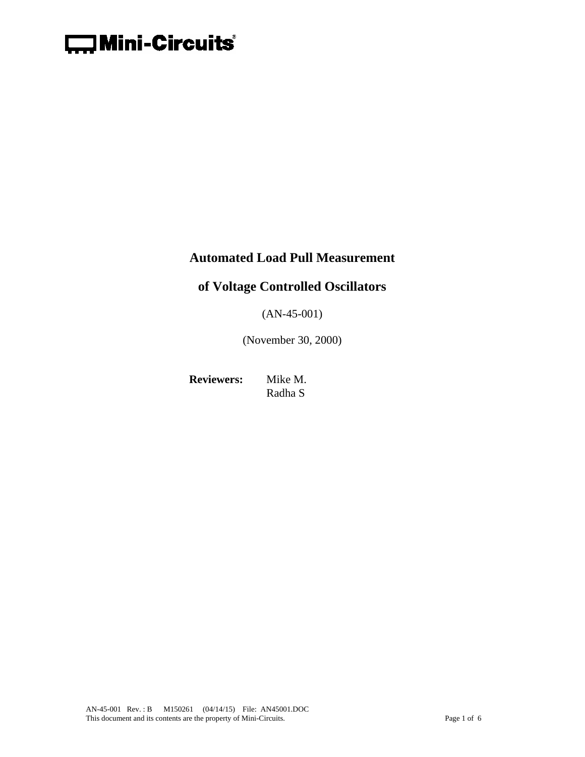

### **Automated Load Pull Measurement**

# **of Voltage Controlled Oscillators**

(AN-45-001)

(November 30, 2000)

**Reviewers:** Mike M. Radha S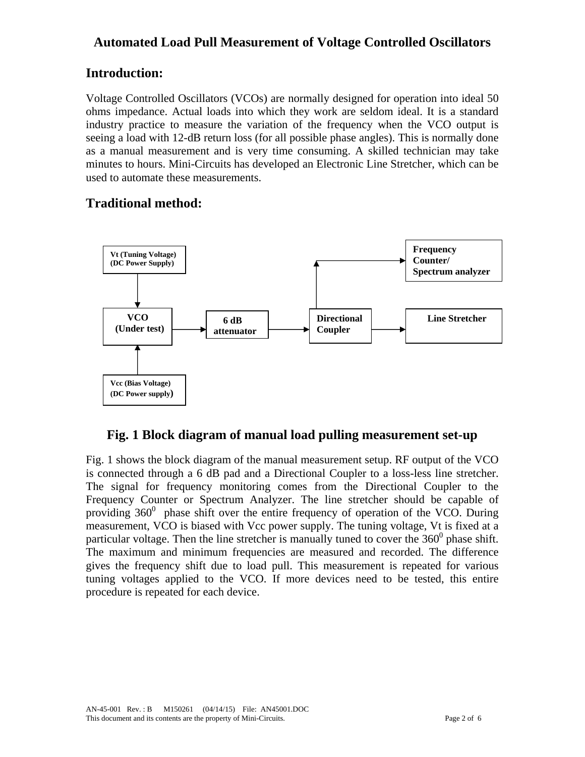## **Automated Load Pull Measurement of Voltage Controlled Oscillators**

## **Introduction:**

Voltage Controlled Oscillators (VCOs) are normally designed for operation into ideal 50 ohms impedance. Actual loads into which they work are seldom ideal. It is a standard industry practice to measure the variation of the frequency when the VCO output is seeing a load with 12-dB return loss (for all possible phase angles). This is normally done as a manual measurement and is very time consuming. A skilled technician may take minutes to hours. Mini-Circuits has developed an Electronic Line Stretcher, which can be used to automate these measurements.

# **Traditional method:**



## **Fig. 1 Block diagram of manual load pulling measurement set-up**

Fig. 1 shows the block diagram of the manual measurement setup. RF output of the VCO is connected through a 6 dB pad and a Directional Coupler to a loss-less line stretcher. The signal for frequency monitoring comes from the Directional Coupler to the Frequency Counter or Spectrum Analyzer. The line stretcher should be capable of providing  $360^0$  phase shift over the entire frequency of operation of the VCO. During measurement, VCO is biased with Vcc power supply. The tuning voltage, Vt is fixed at a particular voltage. Then the line stretcher is manually tuned to cover the  $360^{\circ}$  phase shift. The maximum and minimum frequencies are measured and recorded. The difference gives the frequency shift due to load pull. This measurement is repeated for various tuning voltages applied to the VCO. If more devices need to be tested, this entire procedure is repeated for each device.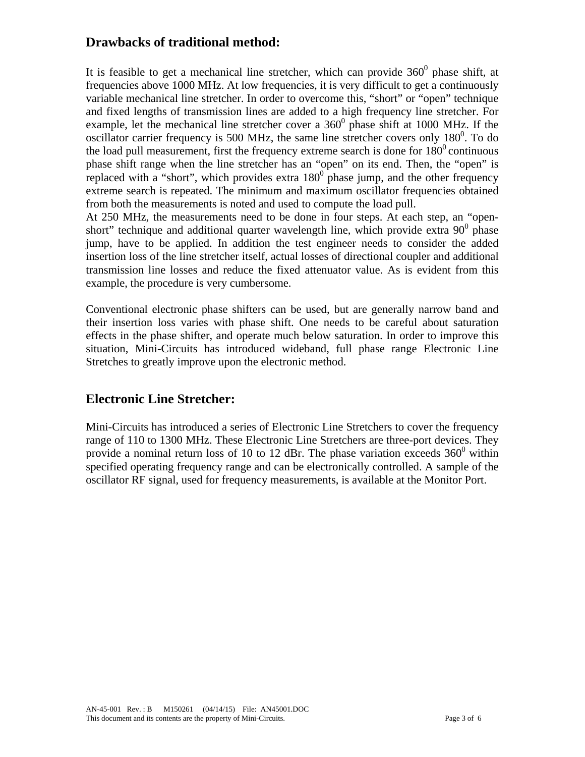### **Drawbacks of traditional method:**

It is feasible to get a mechanical line stretcher, which can provide  $360^{\circ}$  phase shift, at frequencies above 1000 MHz. At low frequencies, it is very difficult to get a continuously variable mechanical line stretcher. In order to overcome this, "short" or "open" technique and fixed lengths of transmission lines are added to a high frequency line stretcher. For example, let the mechanical line stretcher cover a  $360^{\circ}$  phase shift at 1000 MHz. If the oscillator carrier frequency is 500 MHz, the same line stretcher covers only  $180^\circ$ . To do the load pull measurement, first the frequency extreme search is done for  $180^{\circ}$  continuous phase shift range when the line stretcher has an "open" on its end. Then, the "open" is replaced with a "short", which provides extra  $180^{\circ}$  phase jump, and the other frequency extreme search is repeated. The minimum and maximum oscillator frequencies obtained from both the measurements is noted and used to compute the load pull.

At 250 MHz, the measurements need to be done in four steps. At each step, an "openshort" technique and additional quarter wavelength line, which provide extra  $90^{\circ}$  phase jump, have to be applied. In addition the test engineer needs to consider the added insertion loss of the line stretcher itself, actual losses of directional coupler and additional transmission line losses and reduce the fixed attenuator value. As is evident from this example, the procedure is very cumbersome.

Conventional electronic phase shifters can be used, but are generally narrow band and their insertion loss varies with phase shift. One needs to be careful about saturation effects in the phase shifter, and operate much below saturation. In order to improve this situation, Mini-Circuits has introduced wideband, full phase range Electronic Line Stretches to greatly improve upon the electronic method.

### **Electronic Line Stretcher:**

Mini-Circuits has introduced a series of Electronic Line Stretchers to cover the frequency range of 110 to 1300 MHz. These Electronic Line Stretchers are three-port devices. They provide a nominal return loss of 10 to 12 dBr. The phase variation exceeds  $360^{\circ}$  within specified operating frequency range and can be electronically controlled. A sample of the oscillator RF signal, used for frequency measurements, is available at the Monitor Port.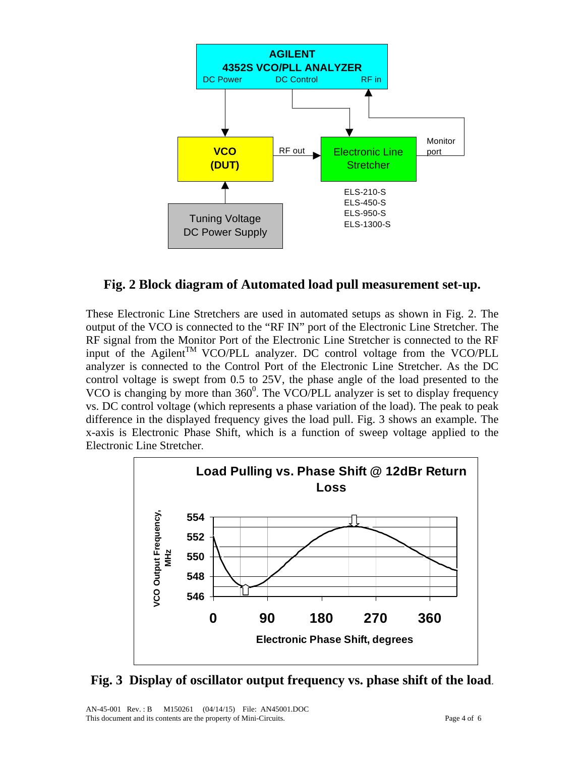

#### **Fig. 2 Block diagram of Automated load pull measurement set-up.**

These Electronic Line Stretchers are used in automated setups as shown in Fig. 2. The output of the VCO is connected to the "RF IN" port of the Electronic Line Stretcher. The RF signal from the Monitor Port of the Electronic Line Stretcher is connected to the RF input of the Agilent<sup>TM</sup> VCO/PLL analyzer. DC control voltage from the VCO/PLL analyzer is connected to the Control Port of the Electronic Line Stretcher. As the DC control voltage is swept from 0.5 to 25V, the phase angle of the load presented to the VCO is changing by more than  $360^{\circ}$ . The VCO/PLL analyzer is set to display frequency vs. DC control voltage (which represents a phase variation of the load). The peak to peak difference in the displayed frequency gives the load pull. Fig. 3 shows an example. The x-axis is Electronic Phase Shift, which is a function of sweep voltage applied to the Electronic Line Stretcher.



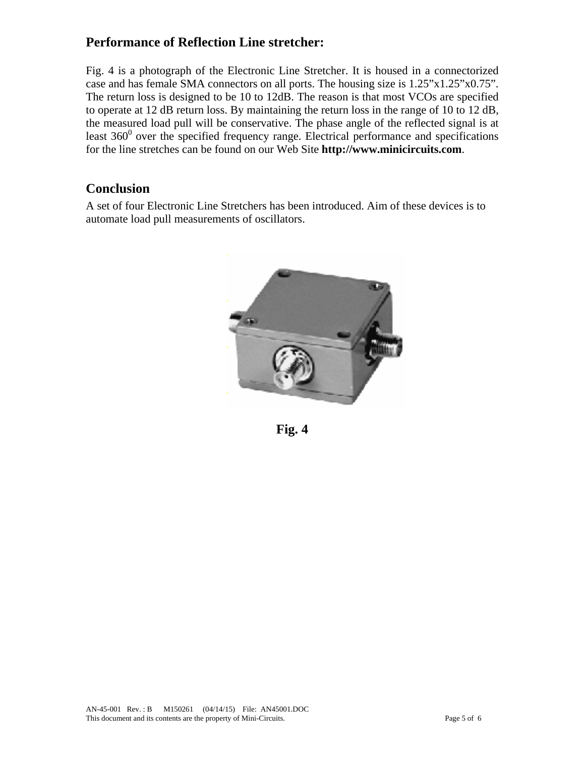## **Performance of Reflection Line stretcher:**

Fig. 4 is a photograph of the Electronic Line Stretcher. It is housed in a connectorized case and has female SMA connectors on all ports. The housing size is 1.25"x1.25"x0.75". The return loss is designed to be 10 to 12dB. The reason is that most VCOs are specified to operate at 12 dB return loss. By maintaining the return loss in the range of 10 to 12 dB, the measured load pull will be conservative. The phase angle of the reflected signal is at least  $360^{\circ}$  over the specified frequency range. Electrical performance and specifications for the line stretches can be found on our Web Site **http://www.minicircuits.com**.

## **Conclusion**

A set of four Electronic Line Stretchers has been introduced. Aim of these devices is to automate load pull measurements of oscillators.



**Fig. 4**